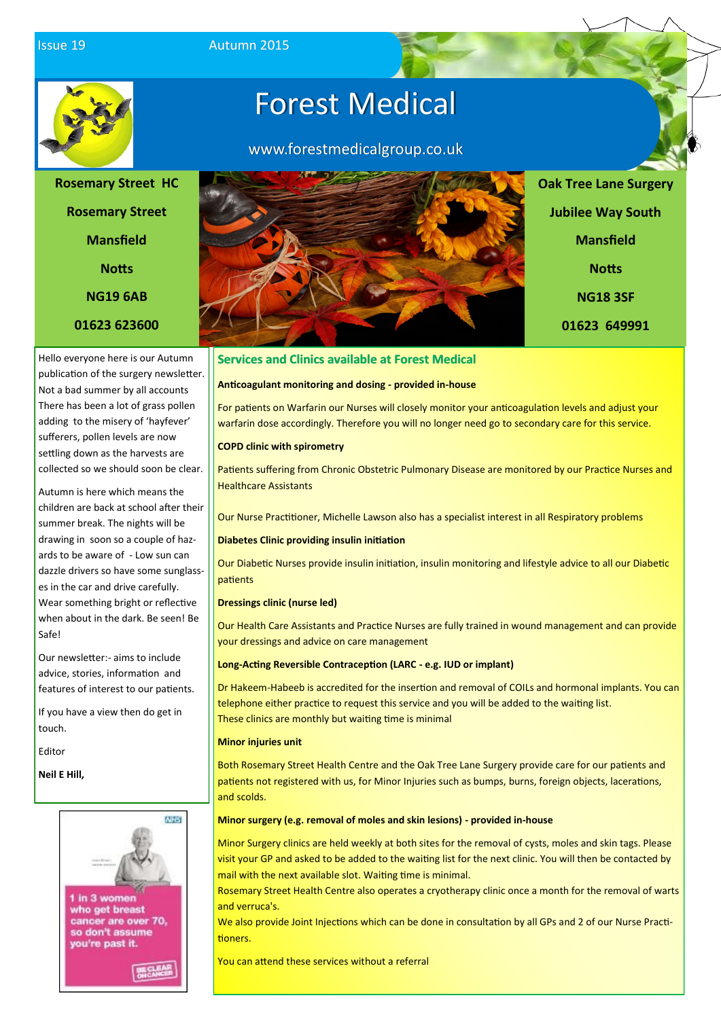**Issue 19** Autumn 2015



# Forest Medical

www.forestmedicalgroup.co.uk



**01623 649991**

### **Services and Clinics available at Forest Medical**

#### **Anticoagulant monitoring and dosing - provided in-house**

For patients on Warfarin our Nurses will closely monitor your anticoagulation levels and adjust your warfarin dose accordingly. Therefore you will no longer need go to secondary care for this service.

#### **COPD clinic with spirometry**

Patients suffering from Chronic Obstetric Pulmonary Disease are monitored by our Practice Nurses and Healthcare Assistants

Our Nurse Practitioner, Michelle Lawson also has a specialist interest in all Respiratory problems

#### **Diabetes Clinic providing insulin initiation**

Our Diabetic Nurses provide insulin initiation, insulin monitoring and lifestyle advice to all our Diabetic patients

#### **Dressings clinic (nurse led)**

Our Health Care Assistants and Practice Nurses are fully trained in wound management and can provide your dressings and advice on care management

#### **Long-Acting Reversible Contraception (LARC - e.g. IUD or implant)**

Dr Hakeem-Habeeb is accredited for the insertion and removal of COILs and hormonal implants. You can telephone either practice to request this service and you will be added to the waiting list. These clinics are monthly but waiting time is minimal

#### **Minor injuries unit**

Both Rosemary Street Health Centre and the Oak Tree Lane Surgery provide care for our patients and patients not registered with us, for Minor Injuries such as bumps, burns, foreign objects, lacerations, and scolds.

#### **Minor surgery (e.g. removal of moles and skin lesions) - provided in-house**

Minor Surgery clinics are held weekly at both sites for the removal of cysts, moles and skin tags. Please visit your GP and asked to be added to the waiting list for the next clinic. You will then be contacted by mail with the next available slot. Waiting time is minimal.

Rosemary Street Health Centre also operates a cryotherapy clinic once a month for the removal of warts and verruca's.

We also provide Joint Injections which can be done in consultation by all GPs and 2 of our Nurse Practitioners.

You can attend these services without a referral

**Rosemary Street Mansfield Notts NG19 6AB 01623 623600**

**Rosemary Street HC**

Hello everyone here is our Autumn publication of the surgery newsletter. Not a bad summer by all accounts There has been a lot of grass pollen adding to the misery of 'hayfever' sufferers, pollen levels are now settling down as the harvests are collected so we should soon be clear.

Autumn is here which means the children are back at school after their summer break. The nights will be drawing in soon so a couple of hazards to be aware of - Low sun can dazzle drivers so have some sunglasses in the car and drive carefully. Wear something bright or reflective when about in the dark. Be seen! Be Safe!

Our newsletter:- aims to include advice, stories, information and features of interest to our patients.

If you have a view then do get in touch.

Editor

**Neil E Hill,**